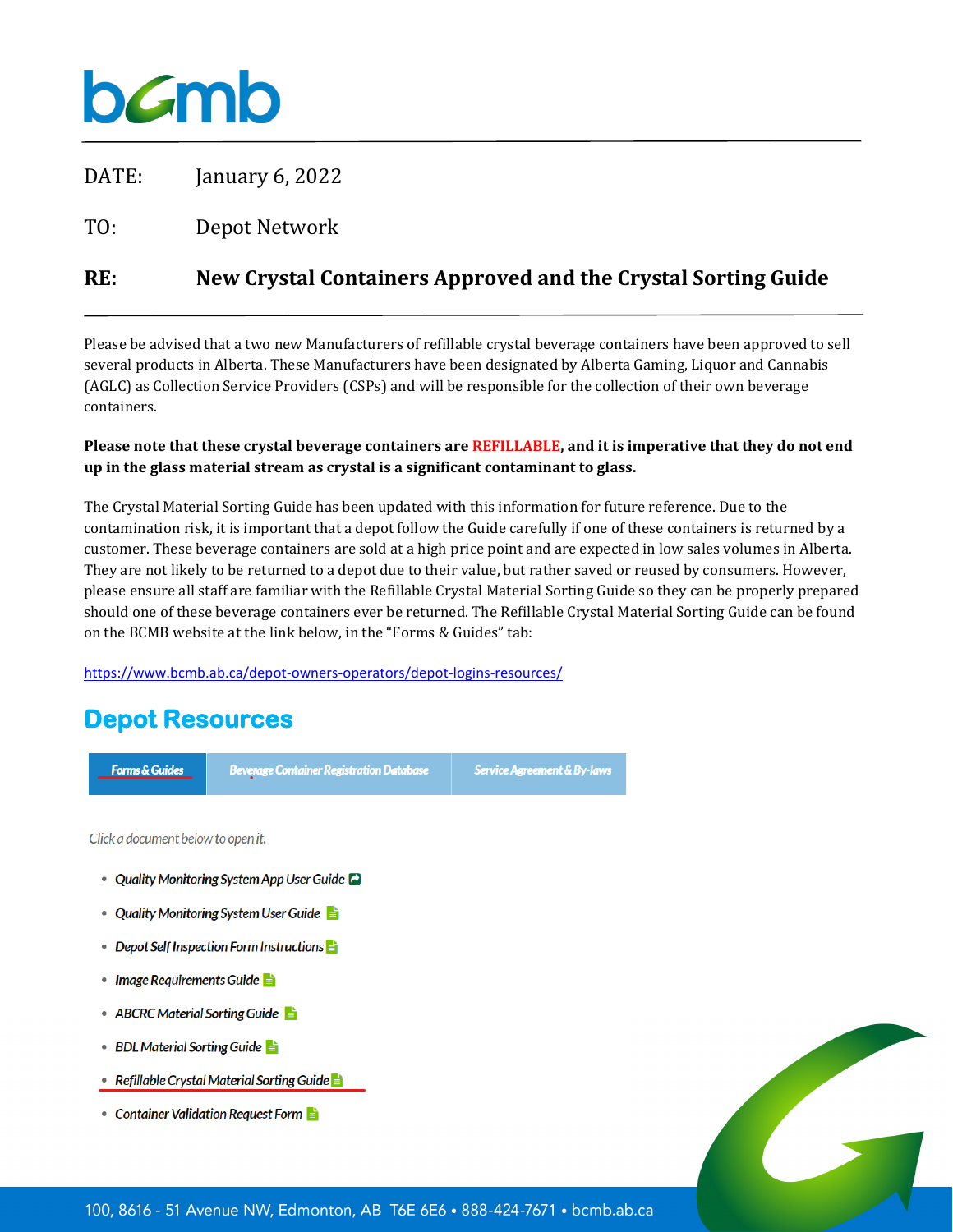

DATE: January 6, 2022

TO: Depot Network

## **RE: New Crystal Containers Approved and the Crystal Sorting Guide**

Please be advised that a two new Manufacturers of refillable crystal beverage containers have been approved to sell several products in Alberta. These Manufacturers have been designated by Alberta Gaming, Liquor and Cannabis (AGLC) as Collection Service Providers (CSPs) and will be responsible for the collection of their own beverage containers.

#### **Please note that these crystal beverage containers are REFILLABLE, and it is imperative that they do not end up in the glass material stream as crystal is a significant contaminant to glass.**

The Crystal Material Sorting Guide has been updated with this information for future reference. Due to the contamination risk, it is important that a depot follow the Guide carefully if one of these containers is returned by a customer. These beverage containers are sold at a high price point and are expected in low sales volumes in Alberta. They are not likely to be returned to a depot due to their value, but rather saved or reused by consumers. However, please ensure all staff are familiar with the Refillable Crystal Material Sorting Guide so they can be properly prepared should one of these beverage containers ever be returned. The Refillable Crystal Material Sorting Guide can be found on the BCMB website at the link below, in the "Forms & Guides" tab:

<https://www.bcmb.ab.ca/depot-owners-operators/depot-logins-resources/>

# **Depot Resources**